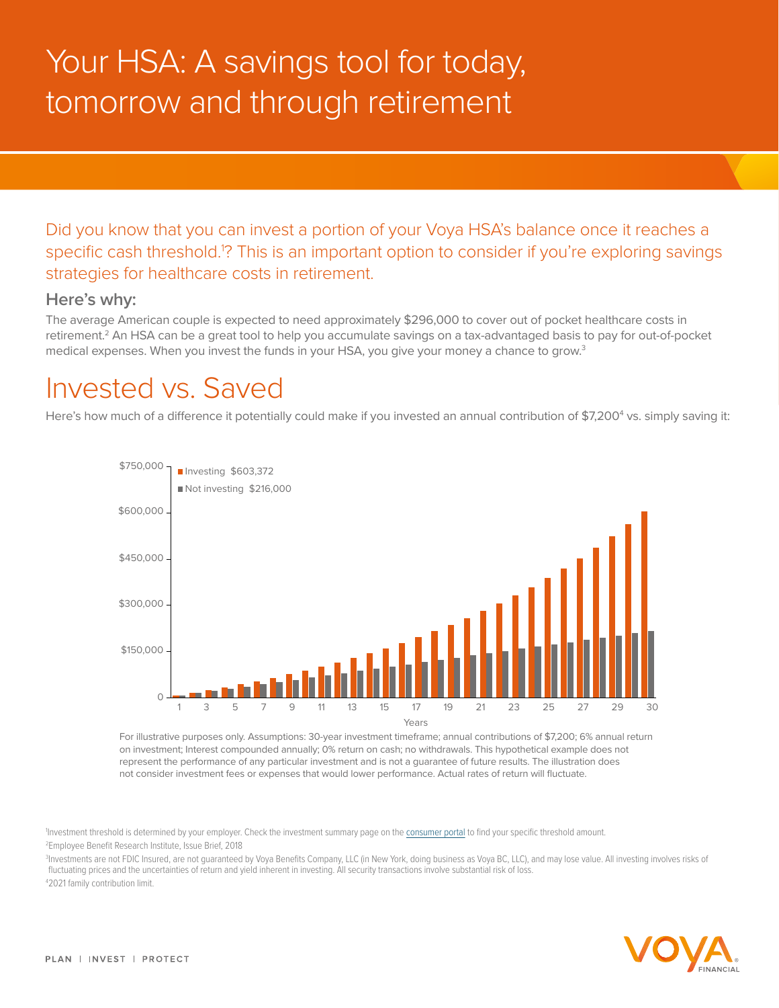## Your HSA: A savings tool for today, tomorrow and through retirement

Did you know that you can invest a portion of your Voya HSA's balance once it reaches a specific cash threshold.1 ? This is an important option to consider if you're exploring savings strategies for healthcare costs in retirement.

## **Here's why:**

The average American couple is expected to need approximately \$296,000 to cover out of pocket healthcare costs in retirement.<sup>2</sup> An HSA can be a great tool to help you accumulate savings on a tax-advantaged basis to pay for out-of-pocket medical expenses. When you invest the funds in your HSA, you give your money a chance to grow.<sup>3</sup>

## Invested vs. Saved

Here's how much of a difference it potentially could make if you invested an annual contribution of \$7,200<sup>4</sup> vs. simply saving it:



For illustrative purposes only. Assumptions: 30-year investment timeframe; annual contributions of \$7,200; 6% annual return on investment; Interest compounded annually; 0% return on cash; no withdrawals. This hypothetical example does not represent the performance of any particular investment and is not a guarantee of future results. The illustration does not consider investment fees or expenses that would lower performance. Actual rates of return will fluctuate.

Investment threshold is determined by your employer. Check the investment summary page on the consumer portal to find your specific threshold amount.

2 Employee Benefit Research Institute, Issue Brief, 2018

3 Investments are not FDIC Insured, are not guaranteed by Voya Benefits Company, LLC (in New York, doing business as Voya BC, LLC), and may lose value. All investing involves risks of fluctuating prices and the uncertainties of return and yield inherent in investing. All security transactions involve substantial risk of loss. 4 2021 family contribution limit.